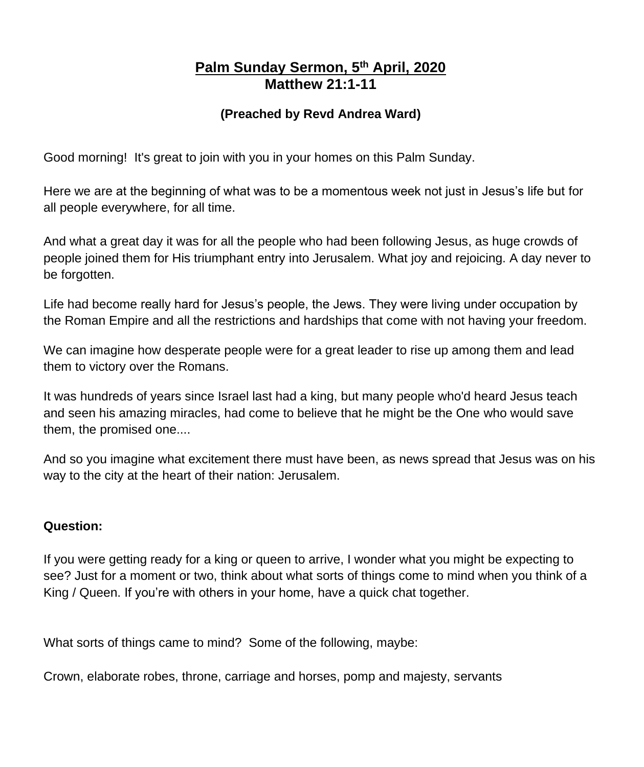# **Palm Sunday Sermon, 5 th April, 2020 Matthew 21:1-11**

## **(Preached by Revd Andrea Ward)**

Good morning! It's great to join with you in your homes on this Palm Sunday.

Here we are at the beginning of what was to be a momentous week not just in Jesus's life but for all people everywhere, for all time.

And what a great day it was for all the people who had been following Jesus, as huge crowds of people joined them for His triumphant entry into Jerusalem. What joy and rejoicing. A day never to be forgotten.

Life had become really hard for Jesus's people, the Jews. They were living under occupation by the Roman Empire and all the restrictions and hardships that come with not having your freedom.

We can imagine how desperate people were for a great leader to rise up among them and lead them to victory over the Romans.

It was hundreds of years since Israel last had a king, but many people who'd heard Jesus teach and seen his amazing miracles, had come to believe that he might be the One who would save them, the promised one....

And so you imagine what excitement there must have been, as news spread that Jesus was on his way to the city at the heart of their nation: Jerusalem.

## **Question:**

If you were getting ready for a king or queen to arrive, I wonder what you might be expecting to see? Just for a moment or two, think about what sorts of things come to mind when you think of a King / Queen. If you're with others in your home, have a quick chat together.

What sorts of things came to mind? Some of the following, maybe:

Crown, elaborate robes, throne, carriage and horses, pomp and majesty, servants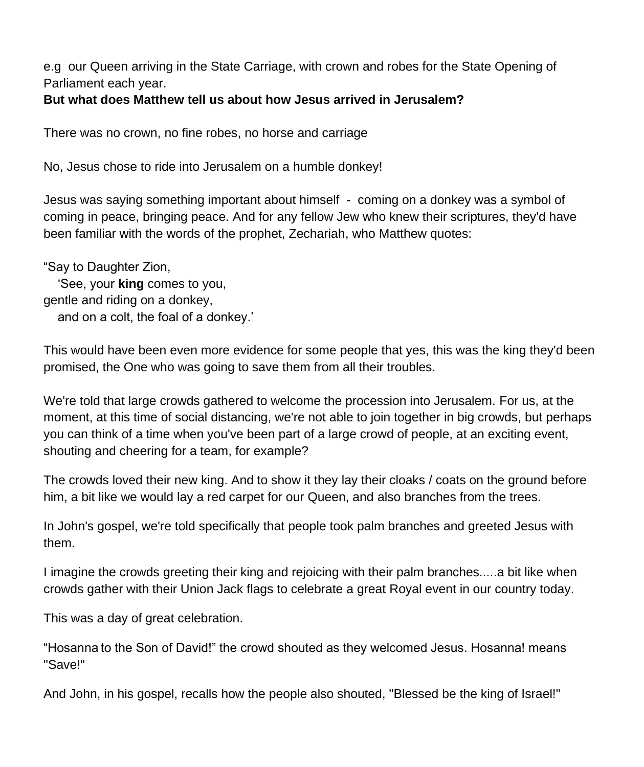e.g our Queen arriving in the State Carriage, with crown and robes for the State Opening of Parliament each year.

#### **But what does Matthew tell us about how Jesus arrived in Jerusalem?**

There was no crown, no fine robes, no horse and carriage

No, Jesus chose to ride into Jerusalem on a humble donkey!

Jesus was saying something important about himself - coming on a donkey was a symbol of coming in peace, bringing peace. And for any fellow Jew who knew their scriptures, they'd have been familiar with the words of the prophet, Zechariah, who Matthew quotes:

"Say to Daughter Zion, 'See, your **king** comes to you, gentle and riding on a donkey, and on a colt, the foal of a donkey.'

This would have been even more evidence for some people that yes, this was the king they'd been promised, the One who was going to save them from all their troubles.

We're told that large crowds gathered to welcome the procession into Jerusalem. For us, at the moment, at this time of social distancing, we're not able to join together in big crowds, but perhaps you can think of a time when you've been part of a large crowd of people, at an exciting event, shouting and cheering for a team, for example?

The crowds loved their new king. And to show it they lay their cloaks / coats on the ground before him, a bit like we would lay a red carpet for our Queen, and also branches from the trees.

In John's gospel, we're told specifically that people took palm branches and greeted Jesus with them.

I imagine the crowds greeting their king and rejoicing with their palm branches.....a bit like when crowds gather with their Union Jack flags to celebrate a great Royal event in our country today.

This was a day of great celebration.

"Hosanna to the Son of David!" the crowd shouted as they welcomed Jesus. Hosanna! means "Save!"

And John, in his gospel, recalls how the people also shouted, "Blessed be the king of Israel!"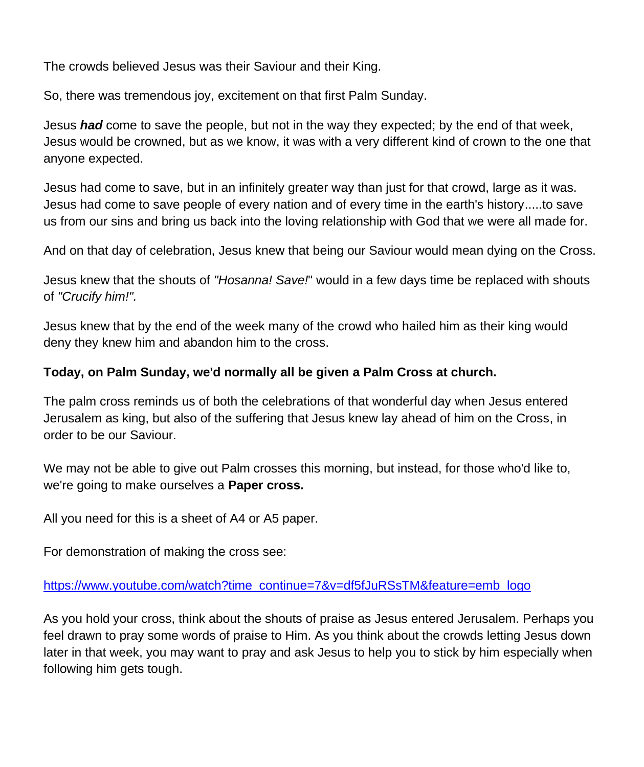The crowds believed Jesus was their Saviour and their King.

So, there was tremendous joy, excitement on that first Palm Sunday.

Jesus *had* come to save the people, but not in the way they expected; by the end of that week, Jesus would be crowned, but as we know, it was with a very different kind of crown to the one that anyone expected.

Jesus had come to save, but in an infinitely greater way than just for that crowd, large as it was. Jesus had come to save people of every nation and of every time in the earth's history.....to save us from our sins and bring us back into the loving relationship with God that we were all made for.

And on that day of celebration, Jesus knew that being our Saviour would mean dying on the Cross.

Jesus knew that the shouts of *"Hosanna! Save!*" would in a few days time be replaced with shouts of *"Crucify him!".* 

Jesus knew that by the end of the week many of the crowd who hailed him as their king would deny they knew him and abandon him to the cross.

## **Today, on Palm Sunday, we'd normally all be given a Palm Cross at church.**

The palm cross reminds us of both the celebrations of that wonderful day when Jesus entered Jerusalem as king, but also of the suffering that Jesus knew lay ahead of him on the Cross, in order to be our Saviour.

We may not be able to give out Palm crosses this morning, but instead, for those who'd like to, we're going to make ourselves a **Paper cross.**

All you need for this is a sheet of A4 or A5 paper.

For demonstration of making the cross see:

## [https://www.youtube.com/watch?time\\_continue=7&v=df5fJuRSsTM&feature=emb\\_logo](https://www.youtube.com/watch?time_continue=7&v=df5fJuRSsTM&feature=emb_logo)

As you hold your cross, think about the shouts of praise as Jesus entered Jerusalem. Perhaps you feel drawn to pray some words of praise to Him. As you think about the crowds letting Jesus down later in that week, you may want to pray and ask Jesus to help you to stick by him especially when following him gets tough.